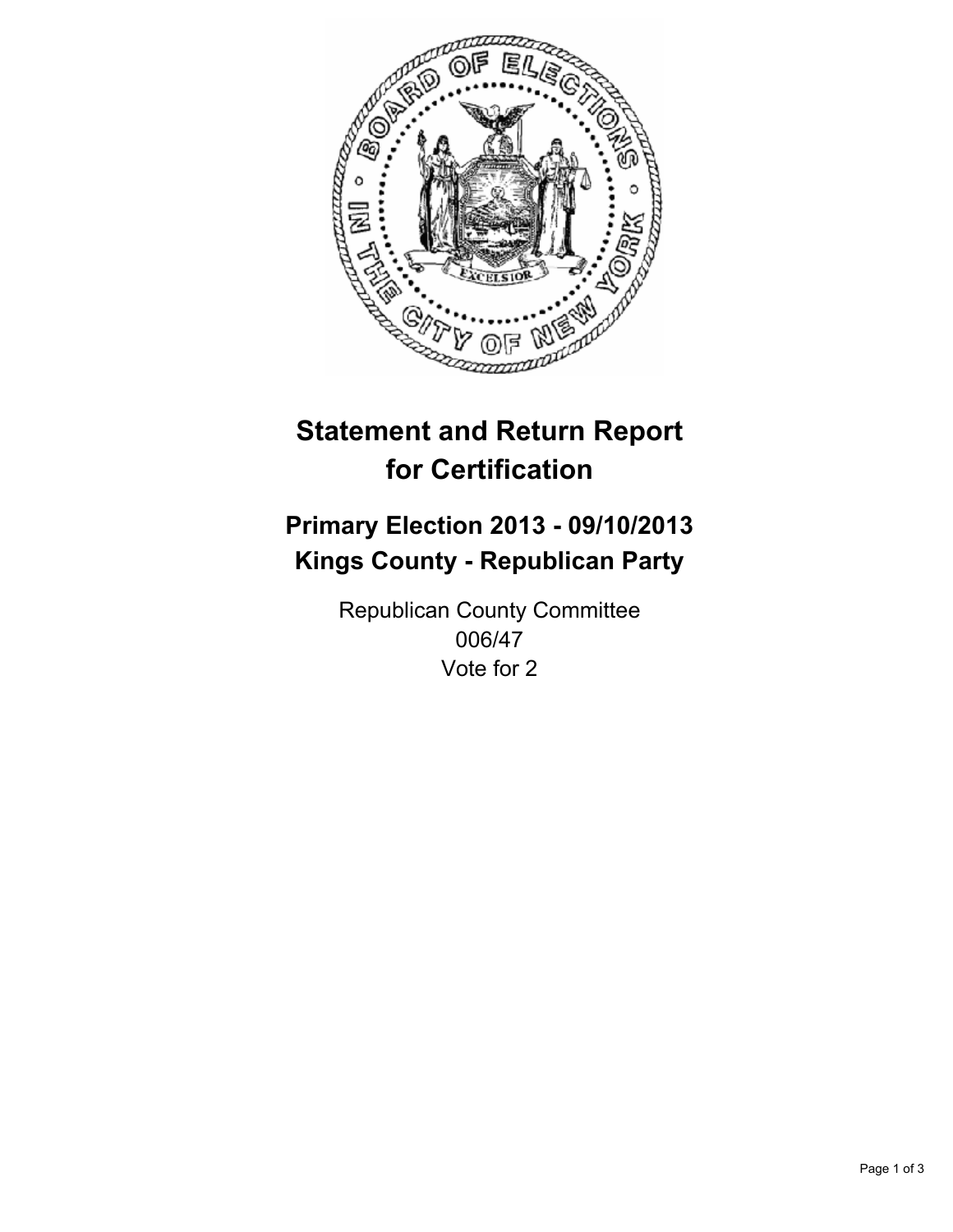

# **Statement and Return Report for Certification**

## **Primary Election 2013 - 09/10/2013 Kings County - Republican Party**

Republican County Committee 006/47 Vote for 2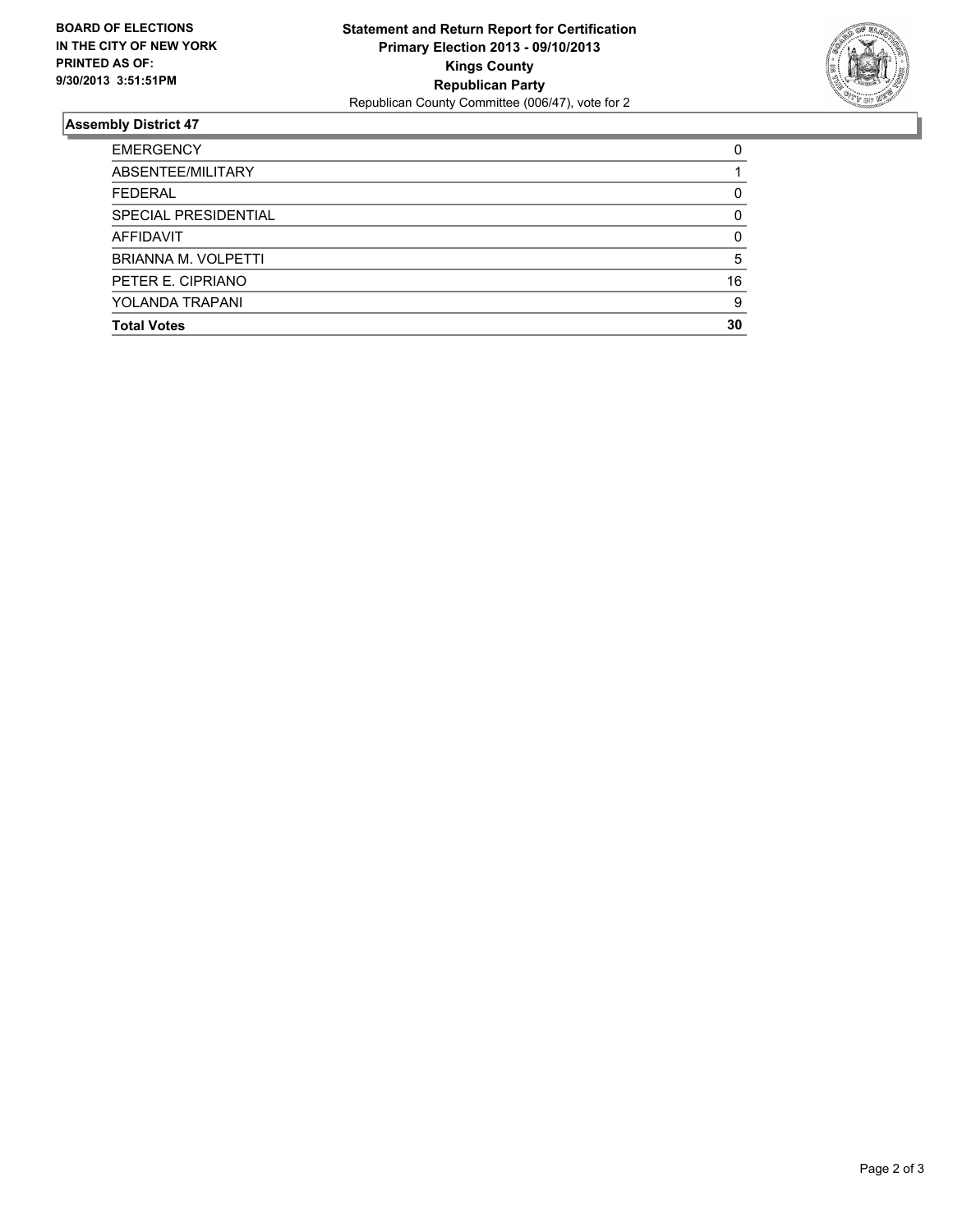

### **Assembly District 47**

| <b>EMERGENCY</b>       | 0  |
|------------------------|----|
| ABSENTEE/MILITARY      |    |
| <b>FEDERAL</b>         | 0  |
| SPECIAL PRESIDENTIAL   | 0  |
| AFFIDAVIT              | 0  |
| BRIANNA M. VOLPETTI    | 5  |
| PETER E. CIPRIANO      | 16 |
| <b>YOLANDA TRAPANI</b> | 9  |
| <b>Total Votes</b>     | 30 |